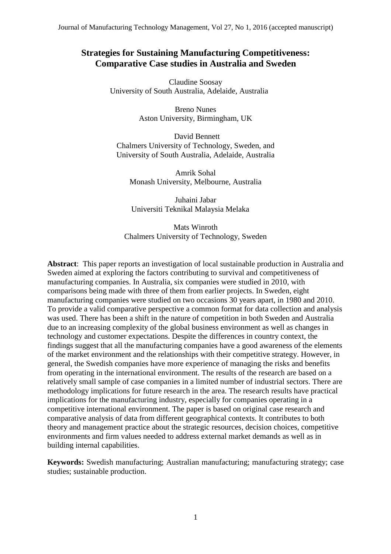# **Strategies for Sustaining Manufacturing Competitiveness: Comparative Case studies in Australia and Sweden**

Claudine Soosay University of South Australia, Adelaide, Australia

> Breno Nunes Aston University, Birmingham, UK

David Bennett Chalmers University of Technology, Sweden, and University of South Australia, Adelaide, Australia

Amrik Sohal Monash University, Melbourne, Australia

Juhaini Jabar Universiti Teknikal Malaysia Melaka

Mats Winroth Chalmers University of Technology, Sweden

**Abstract**: This paper reports an investigation of local sustainable production in Australia and Sweden aimed at exploring the factors contributing to survival and competitiveness of manufacturing companies. In Australia, six companies were studied in 2010, with comparisons being made with three of them from earlier projects. In Sweden, eight manufacturing companies were studied on two occasions 30 years apart, in 1980 and 2010. To provide a valid comparative perspective a common format for data collection and analysis was used. There has been a shift in the nature of competition in both Sweden and Australia due to an increasing complexity of the global business environment as well as changes in technology and customer expectations. Despite the differences in country context, the findings suggest that all the manufacturing companies have a good awareness of the elements of the market environment and the relationships with their competitive strategy. However, in general, the Swedish companies have more experience of managing the risks and benefits from operating in the international environment. The results of the research are based on a relatively small sample of case companies in a limited number of industrial sectors. There are methodology implications for future research in the area. The research results have practical implications for the manufacturing industry, especially for companies operating in a competitive international environment. The paper is based on original case research and comparative analysis of data from different geographical contexts. It contributes to both theory and management practice about the strategic resources, decision choices, competitive environments and firm values needed to address external market demands as well as in building internal capabilities.

**Keywords:** Swedish manufacturing; Australian manufacturing; manufacturing strategy; case studies; sustainable production.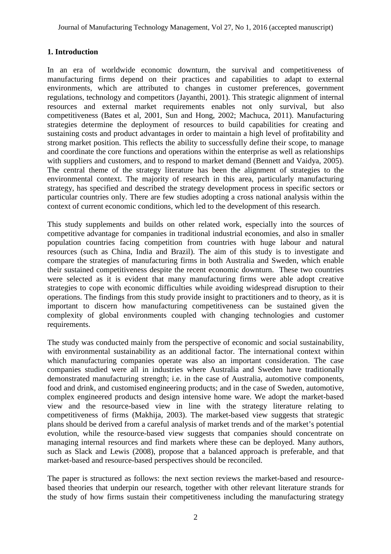# **1. Introduction**

In an era of worldwide economic downturn, the survival and competitiveness of manufacturing firms depend on their practices and capabilities to adapt to external environments, which are attributed to changes in customer preferences, government regulations, technology and competitors (Jayanthi, 2001). This strategic alignment of internal resources and external market requirements enables not only survival, but also competitiveness (Bates et al, 2001, Sun and Hong, 2002; Machuca, 2011). Manufacturing strategies determine the deployment of resources to build capabilities for creating and sustaining costs and product advantages in order to maintain a high level of profitability and strong market position. This reflects the ability to successfully define their scope, to manage and coordinate the core functions and operations within the enterprise as well as relationships with suppliers and customers, and to respond to market demand (Bennett and Vaidya, 2005). The central theme of the strategy literature has been the alignment of strategies to the environmental context. The majority of research in this area, particularly manufacturing strategy, has specified and described the strategy development process in specific sectors or particular countries only. There are few studies adopting a cross national analysis within the context of current economic conditions, which led to the development of this research.

This study supplements and builds on other related work, especially into the sources of competitive advantage for companies in traditional industrial economies, and also in smaller population countries facing competition from countries with huge labour and natural resources (such as China, India and Brazil). The aim of this study is to investigate and compare the strategies of manufacturing firms in both Australia and Sweden, which enable their sustained competitiveness despite the recent economic downturn. These two countries were selected as it is evident that many manufacturing firms were able adopt creative strategies to cope with economic difficulties while avoiding widespread disruption to their operations. The findings from this study provide insight to practitioners and to theory, as it is important to discern how manufacturing competitiveness can be sustained given the complexity of global environments coupled with changing technologies and customer requirements.

The study was conducted mainly from the perspective of economic and social sustainability, with environmental sustainability as an additional factor. The international context within which manufacturing companies operate was also an important consideration. The case companies studied were all in industries where Australia and Sweden have traditionally demonstrated manufacturing strength; i.e. in the case of Australia, automotive components, food and drink, and customised engineering products; and in the case of Sweden, automotive, complex engineered products and design intensive home ware. We adopt the market-based view and the resource-based view in line with the strategy literature relating to competitiveness of firms (Makhija, 2003). The market-based view suggests that strategic plans should be derived from a careful analysis of market trends and of the market's potential evolution, while the resource-based view suggests that companies should concentrate on managing internal resources and find markets where these can be deployed. Many authors, such as Slack and Lewis (2008), propose that a balanced approach is preferable, and that market-based and resource-based perspectives should be reconciled.

The paper is structured as follows: the next section reviews the market-based and resourcebased theories that underpin our research, together with other relevant literature strands for the study of how firms sustain their competitiveness including the manufacturing strategy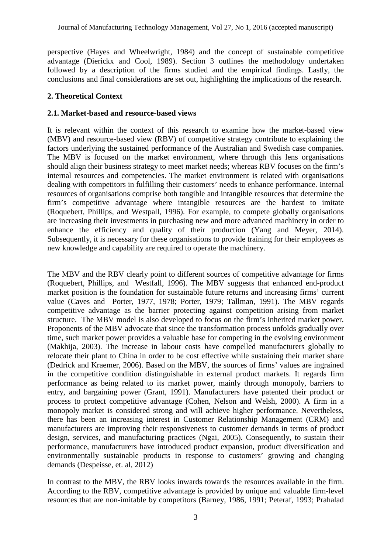perspective (Hayes and Wheelwright, 1984) and the concept of sustainable competitive advantage (Dierickx and Cool, 1989). Section 3 outlines the methodology undertaken followed by a description of the firms studied and the empirical findings. Lastly, the conclusions and final considerations are set out, highlighting the implications of the research.

# **2. Theoretical Context**

### **2.1. Market-based and resource-based views**

It is relevant within the context of this research to examine how the market-based view (MBV) and resource-based view (RBV) of competitive strategy contribute to explaining the factors underlying the sustained performance of the Australian and Swedish case companies. The MBV is focused on the market environment, where through this lens organisations should align their business strategy to meet market needs; whereas RBV focuses on the firm's internal resources and competencies. The market environment is related with organisations dealing with competitors in fulfilling their customers' needs to enhance performance. Internal resources of organisations comprise both tangible and intangible resources that determine the firm's competitive advantage where intangible resources are the hardest to imitate (Roquebert, Phillips, and Westpall, 1996). For example, to compete globally organisations are increasing their investments in purchasing new and more advanced machinery in order to enhance the efficiency and quality of their production (Yang and Meyer, 2014). Subsequently, it is necessary for these organisations to provide training for their employees as new knowledge and capability are required to operate the machinery.

The MBV and the RBV clearly point to different sources of competitive advantage for firms (Roquebert, Phillips, and Westfall, 1996). The MBV suggests that enhanced end-product market position is the foundation for sustainable future returns and increasing firms' current value (Caves and Porter, 1977, 1978; Porter, 1979; Tallman, 1991). The MBV regards competitive advantage as the barrier protecting against competition arising from market structure. The MBV model is also developed to focus on the firm's inherited market power. Proponents of the MBV advocate that since the transformation process unfolds gradually over time, such market power provides a valuable base for competing in the evolving environment (Makhija, 2003). The increase in labour costs have compelled manufacturers globally to relocate their plant to China in order to be cost effective while sustaining their market share (Dedrick and Kraemer, 2006). Based on the MBV, the sources of firms' values are ingrained in the competitive condition distinguishable in external product markets. It regards firm performance as being related to its market power, mainly through monopoly, barriers to entry, and bargaining power (Grant, 1991). Manufacturers have patented their product or process to protect competitive advantage (Cohen, Nelson and Welsh, 2000). A firm in a monopoly market is considered strong and will achieve higher performance. Nevertheless, there has been an increasing interest in Customer Relationship Management (CRM) and manufacturers are improving their responsiveness to customer demands in terms of product design, services, and manufacturing practices (Ngai, 2005). Consequently, to sustain their performance, manufacturers have introduced product expansion, product diversification and environmentally sustainable products in response to customers' growing and changing demands (Despeisse, et. al, 2012)

In contrast to the MBV, the RBV looks inwards towards the resources available in the firm. According to the RBV, competitive advantage is provided by unique and valuable firm-level resources that are non-imitable by competitors (Barney, 1986, 1991; Peteraf, 1993; Prahalad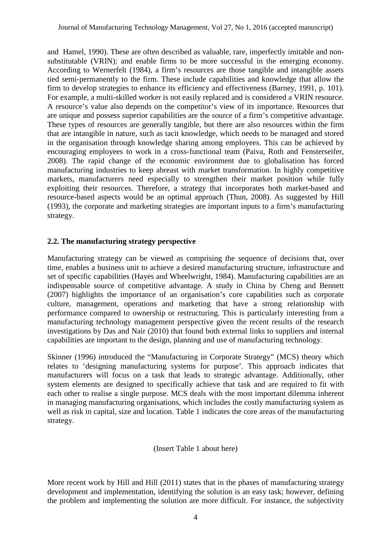and Hamel, 1990). These are often described as valuable, rare, imperfectly imitable and nonsubstitutable (VRIN); and enable firms to be more successful in the emerging economy. According to Wernerfelt (1984), a firm's resources are those tangible and intangible assets tied semi-permanently to the firm. These include capabilities and knowledge that allow the firm to develop strategies to enhance its efficiency and effectiveness (Barney, 1991, p. 101). For example, a multi-skilled worker is not easily replaced and is considered a VRIN resource. A resource's value also depends on the competitor's view of its importance. Resources that are unique and possess superior capabilities are the source of a firm's competitive advantage. These types of resources are generally tangible, but there are also resources within the firm that are intangible in nature, such as tacit knowledge, which needs to be managed and stored in the organisation through knowledge sharing among employees. This can be achieved by encouraging employees to work in a cross-functional team (Paiva, Roth and Fensterseifer, 2008). The rapid change of the economic environment due to globalisation has forced manufacturing industries to keep abreast with market transformation. In highly competitive markets, manufacturers need especially to strengthen their market position while fully exploiting their resources. Therefore, a strategy that incorporates both market-based and resource-based aspects would be an optimal approach (Thun, 2008). As suggested by Hill (1993), the corporate and marketing strategies are important inputs to a firm's manufacturing strategy.

### **2.2. The manufacturing strategy perspective**

Manufacturing strategy can be viewed as comprising the sequence of decisions that, over time, enables a business unit to achieve a desired manufacturing structure, infrastructure and set of specific capabilities (Hayes and Wheelwright, 1984). Manufacturing capabilities are an indispensable source of competitive advantage. A study in China by Cheng and Bennett (2007) highlights the importance of an organisation's core capabilities such as corporate culture, management, operations and marketing that have a strong relationship with performance compared to ownership or restructuring. This is particularly interesting from a manufacturing technology management perspective given the recent results of the research investigations by Das and Nair (2010) that found both external links to suppliers and internal capabilities are important to the design, planning and use of manufacturing technology.

Skinner (1996) introduced the "Manufacturing in Corporate Strategy" (MCS) theory which relates to 'designing manufacturing systems for purpose'. This approach indicates that manufacturers will focus on a task that leads to strategic advantage. Additionally, other system elements are designed to specifically achieve that task and are required to fit with each other to realise a single purpose. MCS deals with the most important dilemma inherent in managing manufacturing organisations, which includes the costly manufacturing system as well as risk in capital, size and location. Table 1 indicates the core areas of the manufacturing strategy.

### (Insert Table 1 about here)

More recent work by Hill and Hill (2011) states that in the phases of manufacturing strategy development and implementation, identifying the solution is an easy task; however, defining the problem and implementing the solution are more difficult. For instance, the subjectivity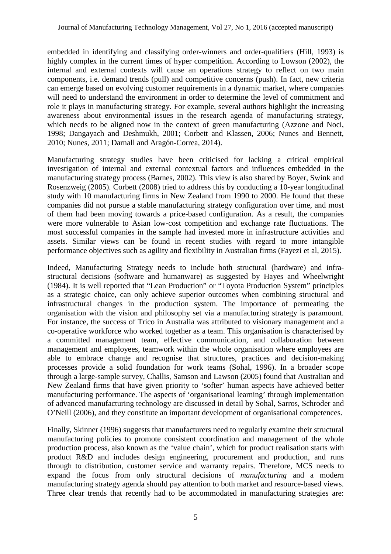embedded in identifying and classifying order-winners and order-qualifiers (Hill, 1993) is highly complex in the current times of hyper competition. According to Lowson (2002), the internal and external contexts will cause an operations strategy to reflect on two main components, i.e. demand trends (pull) and competitive concerns (push). In fact, new criteria can emerge based on evolving customer requirements in a dynamic market, where companies will need to understand the environment in order to determine the level of commitment and role it plays in manufacturing strategy. For example, several authors highlight the increasing awareness about environmental issues in the research agenda of manufacturing strategy, which needs to be aligned now in the context of green manufacturing (Azzone and Noci, 1998; Dangayach and Deshmukh, 2001; Corbett and Klassen, 2006; Nunes and Bennett, 2010; Nunes, 2011; Darnall and Aragón-Correa, 2014).

Manufacturing strategy studies have been criticised for lacking a critical empirical investigation of internal and external contextual factors and influences embedded in the manufacturing strategy process (Barnes, 2002). This view is also shared by Boyer, Swink and Rosenzweig (2005). Corbett (2008) tried to address this by conducting a 10-year longitudinal study with 10 manufacturing firms in New Zealand from 1990 to 2000. He found that these companies did not pursue a stable manufacturing strategy configuration over time, and most of them had been moving towards a price-based configuration. As a result, the companies were more vulnerable to Asian low-cost competition and exchange rate fluctuations. The most successful companies in the sample had invested more in infrastructure activities and assets. Similar views can be found in recent studies with regard to more intangible performance objectives such as agility and flexibility in Australian firms (Fayezi et al, 2015).

Indeed, Manufacturing Strategy needs to include both structural (hardware) and infrastructural decisions (software and humanware) as suggested by Hayes and Wheelwright (1984). It is well reported that "Lean Production" or "Toyota Production System" principles as a strategic choice, can only achieve superior outcomes when combining structural and infrastructural changes in the production system. The importance of permeating the organisation with the vision and philosophy set via a manufacturing strategy is paramount. For instance, the success of Trico in Australia was attributed to visionary management and a co-operative workforce who worked together as a team. This organisation is characterised by a committed management team, effective communication, and collaboration between management and employees, teamwork within the whole organisation where employees are able to embrace change and recognise that structures, practices and decision-making processes provide a solid foundation for work teams (Sohal, 1996). In a broader scope through a large-sample survey, Challis, Samson and Lawson (2005) found that Australian and New Zealand firms that have given priority to 'softer' human aspects have achieved better manufacturing performance. The aspects of 'organisational learning' through implementation of advanced manufacturing technology are discussed in detail by Sohal, Sarros, Schroder and O'Neill (2006), and they constitute an important development of organisational competences.

Finally, Skinner (1996) suggests that manufacturers need to regularly examine their structural manufacturing policies to promote consistent coordination and management of the whole production process, also known as the 'value chain', which for product realisation starts with product R&D and includes design engineering, procurement and production, and runs through to distribution, customer service and warranty repairs. Therefore, MCS needs to expand the focus from only structural decisions of *manufacturing* and a modern manufacturing strategy agenda should pay attention to both market and resource-based views. Three clear trends that recently had to be accommodated in manufacturing strategies are: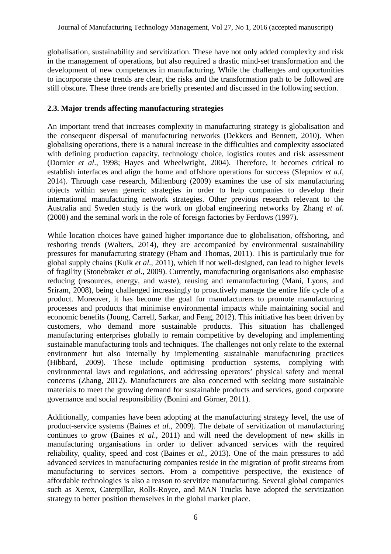globalisation, sustainability and servitization. These have not only added complexity and risk in the management of operations, but also required a drastic mind-set transformation and the development of new competences in manufacturing. While the challenges and opportunities to incorporate these trends are clear, the risks and the transformation path to be followed are still obscure. These three trends are briefly presented and discussed in the following section.

### **2.3. Major trends affecting manufacturing strategies**

An important trend that increases complexity in manufacturing strategy is globalisation and the consequent dispersal of manufacturing networks (Dekkers and Bennett, 2010). When globalising operations, there is a natural increase in the difficulties and complexity associated with defining production capacity, technology choice, logistics routes and risk assessment (Dornier *et al*., 1998; Hayes and Wheelwright, 2004). Therefore, it becomes critical to establish interfaces and align the home and offshore operations for success (Slepniov *et a.l*, 2014). Through case research, Miltenburg (2009) examines the use of six manufacturing objects within seven generic strategies in order to help companies to develop their international manufacturing network strategies. Other previous research relevant to the Australia and Sweden study is the work on global engineering networks by Zhang *et al.* (2008) and the seminal work in the role of foreign factories by Ferdows (1997).

While location choices have gained higher importance due to globalisation, offshoring, and reshoring trends (Walters, 2014), they are accompanied by environmental sustainability pressures for manufacturing strategy (Pham and Thomas, 2011). This is particularly true for global supply chains (Kuik *et al*., 2011), which if not well-designed, can lead to higher levels of fragility (Stonebraker *et al.*, 2009). Currently, manufacturing organisations also emphasise reducing (resources, energy, and waste), reusing and remanufacturing (Mani, Lyons, and Sriram, 2008), being challenged increasingly to proactively manage the entire life cycle of a product. Moreover, it has become the goal for manufacturers to promote manufacturing processes and products that minimise environmental impacts while maintaining social and economic benefits (Joung, Carrell, Sarkar, and Feng, 2012). This initiative has been driven by customers, who demand more sustainable products. This situation has challenged manufacturing enterprises globally to remain competitive by developing and implementing sustainable manufacturing tools and techniques. The challenges not only relate to the external environment but also internally by implementing sustainable manufacturing practices (Hibbard, 2009). These include optimising production systems, complying with environmental laws and regulations, and addressing operators' physical safety and mental concerns (Zhang, 2012). Manufacturers are also concerned with seeking more sustainable materials to meet the growing demand for sustainable products and services, good corporate governance and social responsibility (Bonini and Görner, 2011).

Additionally, companies have been adopting at the manufacturing strategy level, the use of product-service systems (Baines *et al.*, 2009). The debate of servitization of manufacturing continues to grow (Baines *et al*., 2011) and will need the development of new skills in manufacturing organisations in order to deliver advanced services with the required reliability, quality, speed and cost (Baines *et al.*, 2013). One of the main pressures to add advanced services in manufacturing companies reside in the migration of profit streams from manufacturing to services sectors. From a competitive perspective, the existence of affordable technologies is also a reason to servitize manufacturing. Several global companies such as Xerox, Caterpillar, Rolls-Royce, and MAN Trucks have adopted the servitization strategy to better position themselves in the global market place.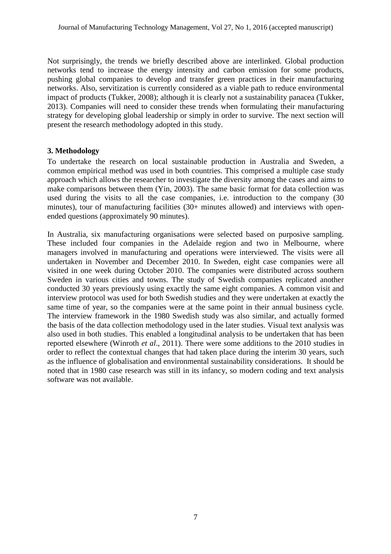Not surprisingly, the trends we briefly described above are interlinked. Global production networks tend to increase the energy intensity and carbon emission for some products, pushing global companies to develop and transfer green practices in their manufacturing networks. Also, servitization is currently considered as a viable path to reduce environmental impact of products (Tukker, 2008); although it is clearly not a sustainability panacea (Tukker, 2013). Companies will need to consider these trends when formulating their manufacturing strategy for developing global leadership or simply in order to survive. The next section will present the research methodology adopted in this study.

### **3. Methodology**

To undertake the research on local sustainable production in Australia and Sweden, a common empirical method was used in both countries. This comprised a multiple case study approach which allows the researcher to investigate the diversity among the cases and aims to make comparisons between them (Yin, 2003). The same basic format for data collection was used during the visits to all the case companies, i.e. introduction to the company (30 minutes), tour of manufacturing facilities (30+ minutes allowed) and interviews with openended questions (approximately 90 minutes).

In Australia, six manufacturing organisations were selected based on purposive sampling. These included four companies in the Adelaide region and two in Melbourne, where managers involved in manufacturing and operations were interviewed. The visits were all undertaken in November and December 2010. In Sweden, eight case companies were all visited in one week during October 2010. The companies were distributed across southern Sweden in various cities and towns. The study of Swedish companies replicated another conducted 30 years previously using exactly the same eight companies. A common visit and interview protocol was used for both Swedish studies and they were undertaken at exactly the same time of year, so the companies were at the same point in their annual business cycle. The interview framework in the 1980 Swedish study was also similar, and actually formed the basis of the data collection methodology used in the later studies. Visual text analysis was also used in both studies. This enabled a longitudinal analysis to be undertaken that has been reported elsewhere (Winroth *et al*., 2011). There were some additions to the 2010 studies in order to reflect the contextual changes that had taken place during the interim 30 years, such as the influence of globalisation and environmental sustainability considerations. It should be noted that in 1980 case research was still in its infancy, so modern coding and text analysis software was not available.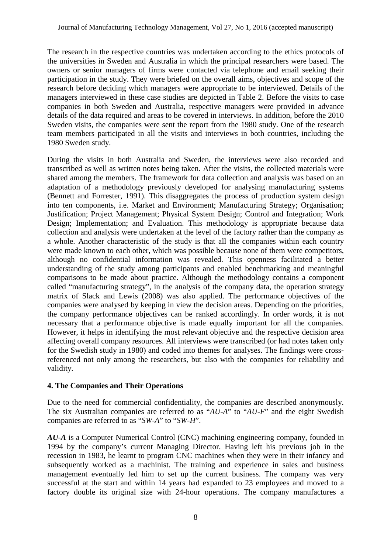The research in the respective countries was undertaken according to the ethics protocols of the universities in Sweden and Australia in which the principal researchers were based. The owners or senior managers of firms were contacted via telephone and email seeking their participation in the study. They were briefed on the overall aims, objectives and scope of the research before deciding which managers were appropriate to be interviewed. Details of the managers interviewed in these case studies are depicted in Table 2. Before the visits to case companies in both Sweden and Australia, respective managers were provided in advance details of the data required and areas to be covered in interviews. In addition, before the 2010 Sweden visits, the companies were sent the report from the 1980 study. One of the research team members participated in all the visits and interviews in both countries, including the 1980 Sweden study.

During the visits in both Australia and Sweden, the interviews were also recorded and transcribed as well as written notes being taken. After the visits, the collected materials were shared among the members. The framework for data collection and analysis was based on an adaptation of a methodology previously developed for analysing manufacturing systems (Bennett and Forrester, 1991). This disaggregates the process of production system design into ten components, i.e. Market and Environment; Manufacturing Strategy; Organisation; Justification; Project Management; Physical System Design; Control and Integration; Work Design; Implementation; and Evaluation. This methodology is appropriate because data collection and analysis were undertaken at the level of the factory rather than the company as a whole. Another characteristic of the study is that all the companies within each country were made known to each other, which was possible because none of them were competitors, although no confidential information was revealed. This openness facilitated a better understanding of the study among participants and enabled benchmarking and meaningful comparisons to be made about practice. Although the methodology contains a component called "manufacturing strategy", in the analysis of the company data, the operation strategy matrix of Slack and Lewis (2008) was also applied. The performance objectives of the companies were analysed by keeping in view the decision areas. Depending on the priorities, the company performance objectives can be ranked accordingly. In order words, it is not necessary that a performance objective is made equally important for all the companies. However, it helps in identifying the most relevant objective and the respective decision area affecting overall company resources. All interviews were transcribed (or had notes taken only for the Swedish study in 1980) and coded into themes for analyses. The findings were crossreferenced not only among the researchers, but also with the companies for reliability and validity.

### **4. The Companies and Their Operations**

Due to the need for commercial confidentiality, the companies are described anonymously. The six Australian companies are referred to as "*AU-A*" to "*AU-F*" and the eight Swedish companies are referred to as "*SW-A*" to "*SW-H*".

*AU-A* is a Computer Numerical Control (CNC) machining engineering company, founded in 1994 by the company's current Managing Director. Having left his previous job in the recession in 1983, he learnt to program CNC machines when they were in their infancy and subsequently worked as a machinist. The training and experience in sales and business management eventually led him to set up the current business. The company was very successful at the start and within 14 years had expanded to 23 employees and moved to a factory double its original size with 24-hour operations. The company manufactures a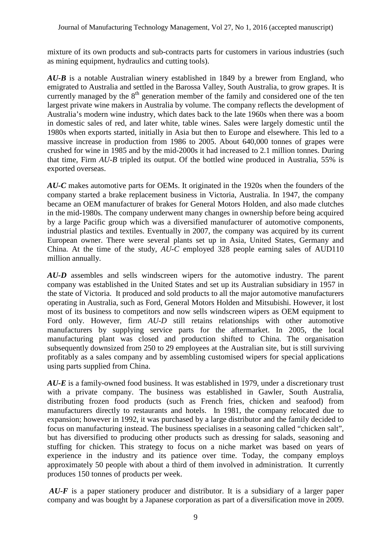mixture of its own products and sub-contracts parts for customers in various industries (such as mining equipment, hydraulics and cutting tools).

*AU-B* is a notable Australian winery established in 1849 by a brewer from England, who emigrated to Australia and settled in the Barossa Valley, South Australia, to grow grapes. It is currently managed by the 8<sup>th</sup> generation member of the family and considered one of the ten largest private wine makers in Australia by volume. The company reflects the development of Australia's modern wine industry, which dates back to the late 1960s when there was a boom in domestic sales of red, and later white, table wines. Sales were largely domestic until the 1980s when exports started, initially in Asia but then to Europe and elsewhere. This led to a massive increase in production from 1986 to 2005. About 640,000 tonnes of grapes were crushed for wine in 1985 and by the mid-2000s it had increased to 2.1 million tonnes. During that time, Firm *AU-B* tripled its output. Of the bottled wine produced in Australia, 55% is exported overseas.

*AU-C* makes automotive parts for OEMs. It originated in the 1920s when the founders of the company started a brake replacement business in Victoria, Australia. In 1947, the company became an OEM manufacturer of brakes for General Motors Holden, and also made clutches in the mid-1980s. The company underwent many changes in ownership before being acquired by a large Pacific group which was a diversified manufacturer of automotive components, industrial plastics and textiles. Eventually in 2007, the company was acquired by its current European owner. There were several plants set up in Asia, United States, Germany and China. At the time of the study, *AU-C* employed 328 people earning sales of AUD110 million annually.

*AU-D* assembles and sells windscreen wipers for the automotive industry. The parent company was established in the United States and set up its Australian subsidiary in 1957 in the state of Victoria. It produced and sold products to all the major automotive manufacturers operating in Australia, such as Ford, General Motors Holden and Mitsubishi. However, it lost most of its business to competitors and now sells windscreen wipers as OEM equipment to Ford only. However, firm *AU-D* still retains relationships with other automotive manufacturers by supplying service parts for the aftermarket. In 2005, the local manufacturing plant was closed and production shifted to China. The organisation subsequently downsized from 250 to 29 employees at the Australian site, but is still surviving profitably as a sales company and by assembling customised wipers for special applications using parts supplied from China.

*AU-E* is a family-owned food business. It was established in 1979, under a discretionary trust with a private company. The business was established in Gawler, South Australia, distributing frozen food products (such as French fries, chicken and seafood) from manufacturers directly to restaurants and hotels. In 1981, the company relocated due to expansion; however in 1992, it was purchased by a large distributor and the family decided to focus on manufacturing instead. The business specialises in a seasoning called "chicken salt", but has diversified to producing other products such as dressing for salads, seasoning and stuffing for chicken. This strategy to focus on a niche market was based on years of experience in the industry and its patience over time. Today, the company employs approximately 50 people with about a third of them involved in administration. It currently produces 150 tonnes of products per week.

*AU-F* is a paper stationery producer and distributor. It is a subsidiary of a larger paper company and was bought by a Japanese corporation as part of a diversification move in 2009.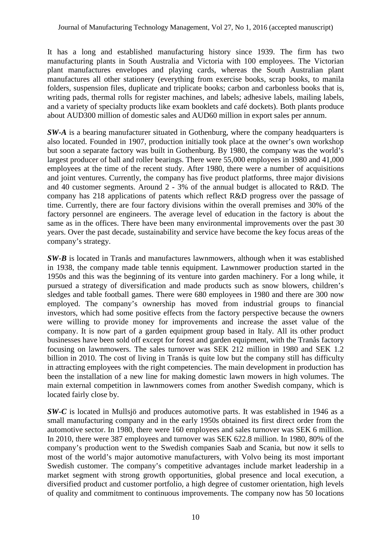It has a long and established manufacturing history since 1939. The firm has two manufacturing plants in South Australia and Victoria with 100 employees. The Victorian plant manufactures envelopes and playing cards, whereas the South Australian plant manufactures all other stationery (everything from exercise books, scrap books, to manila folders, suspension files, duplicate and triplicate books; carbon and carbonless books that is, writing pads, thermal rolls for register machines, and labels; adhesive labels, mailing labels, and a variety of specialty products like exam booklets and café dockets). Both plants produce about AUD300 million of domestic sales and AUD60 million in export sales per annum.

*SW-A* is a bearing manufacturer situated in Gothenburg, where the company headquarters is also located. Founded in 1907, production initially took place at the owner's own workshop but soon a separate factory was built in Gothenburg. By 1980, the company was the world's largest producer of ball and roller bearings. There were 55,000 employees in 1980 and 41,000 employees at the time of the recent study. After 1980, there were a number of acquisitions and joint ventures. Currently, the company has five product platforms, three major divisions and 40 customer segments. Around 2 - 3% of the annual budget is allocated to R&D. The company has 218 applications of patents which reflect R&D progress over the passage of time. Currently, there are four factory divisions within the overall premises and 30% of the factory personnel are engineers. The average level of education in the factory is about the same as in the offices. There have been many environmental improvements over the past 30 years. Over the past decade, sustainability and service have become the key focus areas of the company's strategy.

*SW-B* is located in Tranås and manufactures lawnmowers, although when it was established in 1938, the company made table tennis equipment. Lawnmower production started in the 1950s and this was the beginning of its venture into garden machinery. For a long while, it pursued a strategy of diversification and made products such as snow blowers, children's sledges and table football games. There were 680 employees in 1980 and there are 300 now employed. The company's ownership has moved from industrial groups to financial investors, which had some positive effects from the factory perspective because the owners were willing to provide money for improvements and increase the asset value of the company. It is now part of a garden equipment group based in Italy. All its other product businesses have been sold off except for forest and garden equipment, with the Tranås factory focusing on lawnmowers. The sales turnover was SEK 212 million in 1980 and SEK 1.2 billion in 2010. The cost of living in Tranås is quite low but the company still has difficulty in attracting employees with the right competencies. The main development in production has been the installation of a new line for making domestic lawn mowers in high volumes. The main external competition in lawnmowers comes from another Swedish company, which is located fairly close by.

*SW-C* is located in Mullsjö and produces automotive parts. It was established in 1946 as a small manufacturing company and in the early 1950s obtained its first direct order from the automotive sector. In 1980, there were 160 employees and sales turnover was SEK 6 million. In 2010, there were 387 employees and turnover was SEK 622.8 million. In 1980, 80% of the company's production went to the Swedish companies Saab and Scania, but now it sells to most of the world's major automotive manufacturers, with Volvo being its most important Swedish customer. The company's competitive advantages include market leadership in a market segment with strong growth opportunities, global presence and local execution, a diversified product and customer portfolio, a high degree of customer orientation, high levels of quality and commitment to continuous improvements. The company now has 50 locations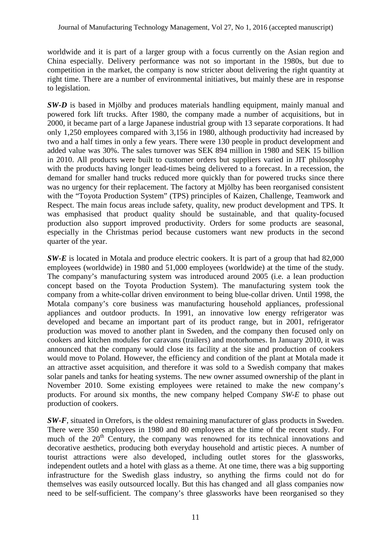worldwide and it is part of a larger group with a focus currently on the Asian region and China especially. Delivery performance was not so important in the 1980s, but due to competition in the market, the company is now stricter about delivering the right quantity at right time. There are a number of environmental initiatives, but mainly these are in response to legislation.

*SW-D* is based in Mjölby and produces materials handling equipment, mainly manual and powered fork lift trucks. After 1980, the company made a number of acquisitions, but in 2000, it became part of a large Japanese industrial group with 13 separate corporations. It had only 1,250 employees compared with 3,156 in 1980, although productivity had increased by two and a half times in only a few years. There were 130 people in product development and added value was 30%. The sales turnover was SEK 894 million in 1980 and SEK 15 billion in 2010. All products were built to customer orders but suppliers varied in JIT philosophy with the products having longer lead-times being delivered to a forecast. In a recession, the demand for smaller hand trucks reduced more quickly than for powered trucks since there was no urgency for their replacement. The factory at Mjölby has been reorganised consistent with the "Toyota Production System" (TPS) principles of Kaizen, Challenge, Teamwork and Respect. The main focus areas include safety, quality, new product development and TPS. It was emphasised that product quality should be sustainable, and that quality-focused production also support improved productivity. Orders for some products are seasonal, especially in the Christmas period because customers want new products in the second quarter of the year.

**SW-E** is located in Motala and produce electric cookers. It is part of a group that had 82,000 employees (worldwide) in 1980 and 51,000 employees (worldwide) at the time of the study. The company's manufacturing system was introduced around 2005 (i.e. a lean production concept based on the Toyota Production System). The manufacturing system took the company from a white-collar driven environment to being blue-collar driven. Until 1998, the Motala company's core business was manufacturing household appliances, professional appliances and outdoor products. In 1991, an innovative low energy refrigerator was developed and became an important part of its product range, but in 2001, refrigerator production was moved to another plant in Sweden, and the company then focused only on cookers and kitchen modules for caravans (trailers) and motorhomes. In January 2010, it was announced that the company would close its facility at the site and production of cookers would move to Poland. However, the efficiency and condition of the plant at Motala made it an attractive asset acquisition, and therefore it was sold to a Swedish company that makes solar panels and tanks for heating systems. The new owner assumed ownership of the plant in November 2010. Some existing employees were retained to make the new company's products. For around six months, the new company helped Company *SW-E* to phase out production of cookers.

*SW-F*, situated in Orrefors, is the oldest remaining manufacturer of glass products in Sweden. There were 350 employees in 1980 and 80 employees at the time of the recent study. For much of the  $20<sup>th</sup>$  Century, the company was renowned for its technical innovations and decorative aesthetics, producing both everyday household and artistic pieces. A number of tourist attractions were also developed, including outlet stores for the glassworks, independent outlets and a hotel with glass as a theme. At one time, there was a big supporting infrastructure for the Swedish glass industry, so anything the firms could not do for themselves was easily outsourced locally. But this has changed and all glass companies now need to be self-sufficient. The company's three glassworks have been reorganised so they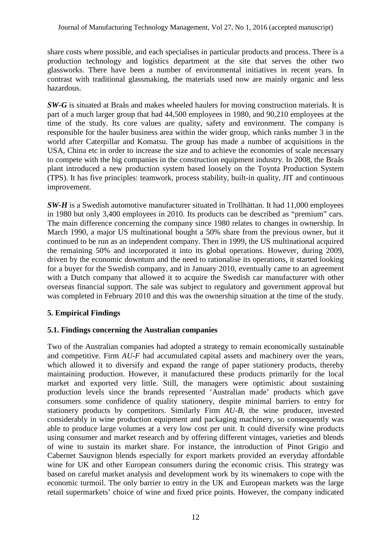share costs where possible, and each specialises in particular products and process. There is a production technology and logistics department at the site that serves the other two glassworks. There have been a number of environmental initiatives in recent years. In contrast with traditional glassmaking, the materials used now are mainly organic and less hazardous.

*SW-G* is situated at Braås and makes wheeled haulers for moving construction materials. It is part of a much larger group that had 44,500 employees in 1980, and 90,210 employees at the time of the study. Its core values are quality, safety and environment. The company is responsible for the hauler business area within the wider group, which ranks number 3 in the world after Caterpillar and Komatsu. The group has made a number of acquisitions in the USA, China etc in order to increase the size and to achieve the economies of scale necessary to compete with the big companies in the construction equipment industry. In 2008, the Braås plant introduced a new production system based loosely on the Toyota Production System (TPS). It has five principles: teamwork, process stability, built-in quality, JIT and continuous improvement.

*SW-H* is a Swedish automotive manufacturer situated in Trollhättan. It had 11,000 employees in 1980 but only 3,400 employees in 2010. Its products can be described as "premium" cars. The main difference concerning the company since 1980 relates to changes in ownership. In March 1990, a major US multinational bought a 50% share from the previous owner, but it continued to be run as an independent company. Then in 1999, the US multinational acquired the remaining 50% and incorporated it into its global operations. However, during 2009, driven by the economic downturn and the need to rationalise its operations, it started looking for a buyer for the Swedish company, and in January 2010, eventually came to an agreement with a Dutch company that allowed it to acquire the Swedish car manufacturer with other overseas financial support. The sale was subject to regulatory and government approval but was completed in February 2010 and this was the ownership situation at the time of the study.

# **5. Empirical Findings**

### **5.1. Findings concerning the Australian companies**

Two of the Australian companies had adopted a strategy to remain economically sustainable and competitive. Firm *AU-F* had accumulated capital assets and machinery over the years, which allowed it to diversify and expand the range of paper stationery products, thereby maintaining production. However, it manufactured these products primarily for the local market and exported very little. Still, the managers were optimistic about sustaining production levels since the brands represented 'Australian made' products which gave consumers some confidence of quality stationery, despite minimal barriers to entry for stationery products by competitors. Similarly Firm *AU-B*, the wine producer, invested considerably in wine production equipment and packaging machinery, so consequently was able to produce large volumes at a very low cost per unit. It could diversify wine products using consumer and market research and by offering different vintages, varieties and blends of wine to sustain its market share. For instance, the introduction of Pinot Grigio and Cabernet Sauvignon blends especially for export markets provided an everyday affordable wine for UK and other European consumers during the economic crisis. This strategy was based on careful market analysis and development work by its winemakers to cope with the economic turmoil. The only barrier to entry in the UK and European markets was the large retail supermarkets' choice of wine and fixed price points. However, the company indicated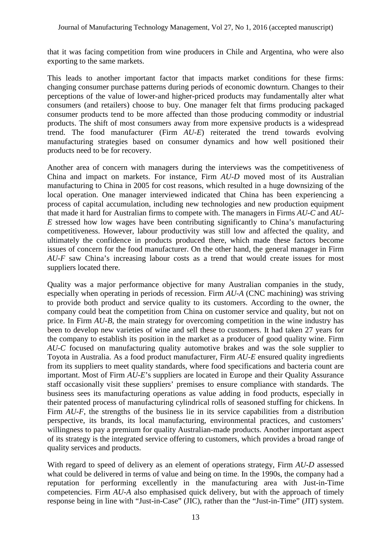that it was facing competition from wine producers in Chile and Argentina, who were also exporting to the same markets.

This leads to another important factor that impacts market conditions for these firms: changing consumer purchase patterns during periods of economic downturn. Changes to their perceptions of the value of lower-and higher-priced products may fundamentally alter what consumers (and retailers) choose to buy. One manager felt that firms producing packaged consumer products tend to be more affected than those producing commodity or industrial products. The shift of most consumers away from more expensive products is a widespread trend. The food manufacturer (Firm *AU-E*) reiterated the trend towards evolving manufacturing strategies based on consumer dynamics and how well positioned their products need to be for recovery.

Another area of concern with managers during the interviews was the competitiveness of China and impact on markets. For instance, Firm *AU-D* moved most of its Australian manufacturing to China in 2005 for cost reasons, which resulted in a huge downsizing of the local operation. One manager interviewed indicated that China has been experiencing a process of capital accumulation, including new technologies and new production equipment that made it hard for Australian firms to compete with. The managers in Firms *AU-C* and *AU-E* stressed how low wages have been contributing significantly to China's manufacturing competitiveness. However, labour productivity was still low and affected the quality, and ultimately the confidence in products produced there, which made these factors become issues of concern for the food manufacturer. On the other hand, the general manager in Firm *AU-F* saw China's increasing labour costs as a trend that would create issues for most suppliers located there.

Quality was a major performance objective for many Australian companies in the study, especially when operating in periods of recession. Firm *AU-A* (CNC machining) was striving to provide both product and service quality to its customers. According to the owner, the company could beat the competition from China on customer service and quality, but not on price. In Firm *AU-B*, the main strategy for overcoming competition in the wine industry has been to develop new varieties of wine and sell these to customers. It had taken 27 years for the company to establish its position in the market as a producer of good quality wine. Firm *AU-C* focused on manufacturing quality automotive brakes and was the sole supplier to Toyota in Australia. As a food product manufacturer, Firm *AU-E* ensured quality ingredients from its suppliers to meet quality standards, where food specifications and bacteria count are important. Most of Firm *AU-E*'s suppliers are located in Europe and their Quality Assurance staff occasionally visit these suppliers' premises to ensure compliance with standards. The business sees its manufacturing operations as value adding in food products, especially in their patented process of manufacturing cylindrical rolls of seasoned stuffing for chickens. In Firm *AU-F*, the strengths of the business lie in its service capabilities from a distribution perspective, its brands, its local manufacturing, environmental practices, and customers' willingness to pay a premium for quality Australian-made products. Another important aspect of its strategy is the integrated service offering to customers, which provides a broad range of quality services and products.

With regard to speed of delivery as an element of operations strategy, Firm *AU-D* assessed what could be delivered in terms of value and being on time. In the 1990s, the company had a reputation for performing excellently in the manufacturing area with Just-in-Time competencies. Firm *AU-A* also emphasised quick delivery, but with the approach of timely response being in line with "Just-in-Case" (JIC), rather than the "Just-in-Time" (JIT) system.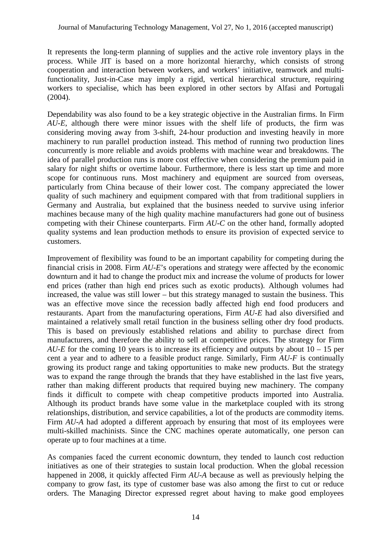It represents the long-term planning of supplies and the active role inventory plays in the process. While JIT is based on a more horizontal hierarchy, which consists of strong cooperation and interaction between workers, and workers' initiative, teamwork and multifunctionality, Just-in-Case may imply a rigid, vertical hierarchical structure, requiring workers to specialise, which has been explored in other sectors by Alfasi and Portugali (2004).

Dependability was also found to be a key strategic objective in the Australian firms. In Firm *AU-E*, although there were minor issues with the shelf life of products, the firm was considering moving away from 3-shift, 24-hour production and investing heavily in more machinery to run parallel production instead. This method of running two production lines concurrently is more reliable and avoids problems with machine wear and breakdowns. The idea of parallel production runs is more cost effective when considering the premium paid in salary for night shifts or overtime labour. Furthermore, there is less start up time and more scope for continuous runs. Most machinery and equipment are sourced from overseas, particularly from China because of their lower cost. The company appreciated the lower quality of such machinery and equipment compared with that from traditional suppliers in Germany and Australia, but explained that the business needed to survive using inferior machines because many of the high quality machine manufacturers had gone out of business competing with their Chinese counterparts. Firm *AU-C* on the other hand, formally adopted quality systems and lean production methods to ensure its provision of expected service to customers.

Improvement of flexibility was found to be an important capability for competing during the financial crisis in 2008. Firm *AU-E*'s operations and strategy were affected by the economic downturn and it had to change the product mix and increase the volume of products for lower end prices (rather than high end prices such as exotic products). Although volumes had increased, the value was still lower – but this strategy managed to sustain the business. This was an effective move since the recession badly affected high end food producers and restaurants. Apart from the manufacturing operations, Firm *AU-E* had also diversified and maintained a relatively small retail function in the business selling other dry food products. This is based on previously established relations and ability to purchase direct from manufacturers, and therefore the ability to sell at competitive prices. The strategy for Firm *AU-E* for the coming 10 years is to increase its efficiency and outputs by about  $10 - 15$  per cent a year and to adhere to a feasible product range. Similarly, Firm *AU-F* is continually growing its product range and taking opportunities to make new products. But the strategy was to expand the range through the brands that they have established in the last five years, rather than making different products that required buying new machinery. The company finds it difficult to compete with cheap competitive products imported into Australia. Although its product brands have some value in the marketplace coupled with its strong relationships, distribution, and service capabilities, a lot of the products are commodity items. Firm *AU-A* had adopted a different approach by ensuring that most of its employees were multi-skilled machinists. Since the CNC machines operate automatically, one person can operate up to four machines at a time.

As companies faced the current economic downturn, they tended to launch cost reduction initiatives as one of their strategies to sustain local production. When the global recession happened in 2008, it quickly affected Firm *AU-A* because as well as previously helping the company to grow fast, its type of customer base was also among the first to cut or reduce orders. The Managing Director expressed regret about having to make good employees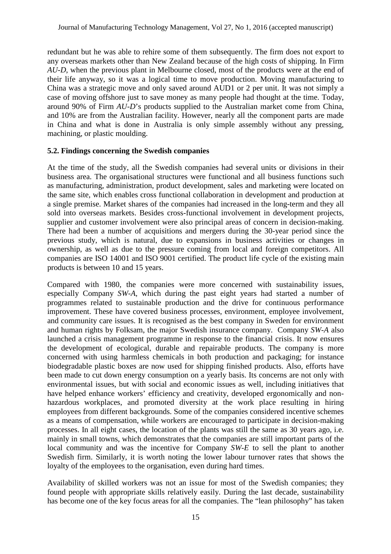redundant but he was able to rehire some of them subsequently. The firm does not export to any overseas markets other than New Zealand because of the high costs of shipping. In Firm *AU-D*, when the previous plant in Melbourne closed, most of the products were at the end of their life anyway, so it was a logical time to move production. Moving manufacturing to China was a strategic move and only saved around AUD1 or 2 per unit. It was not simply a case of moving offshore just to save money as many people had thought at the time. Today, around 90% of Firm *AU-D*'s products supplied to the Australian market come from China, and 10% are from the Australian facility. However, nearly all the component parts are made in China and what is done in Australia is only simple assembly without any pressing, machining, or plastic moulding.

### **5.2. Findings concerning the Swedish companies**

At the time of the study, all the Swedish companies had several units or divisions in their business area. The organisational structures were functional and all business functions such as manufacturing, administration, product development, sales and marketing were located on the same site, which enables cross functional collaboration in development and production at a single premise. Market shares of the companies had increased in the long-term and they all sold into overseas markets. Besides cross-functional involvement in development projects, supplier and customer involvement were also principal areas of concern in decision-making. There had been a number of acquisitions and mergers during the 30-year period since the previous study, which is natural, due to expansions in business activities or changes in ownership, as well as due to the pressure coming from local and foreign competitors. All companies are ISO 14001 and ISO 9001 certified. The product life cycle of the existing main products is between 10 and 15 years.

Compared with 1980, the companies were more concerned with sustainability issues, especially Company *SW-A*, which during the past eight years had started a number of programmes related to sustainable production and the drive for continuous performance improvement. These have covered business processes, environment, employee involvement, and community care issues. It is recognised as the best company in Sweden for environment and human rights by Folksam, the major Swedish insurance company. Company *SW-A* also launched a crisis management programme in response to the financial crisis. It now ensures the development of ecological, durable and repairable products. The company is more concerned with using harmless chemicals in both production and packaging; for instance biodegradable plastic boxes are now used for shipping finished products. Also, efforts have been made to cut down energy consumption on a yearly basis. Its concerns are not only with environmental issues, but with social and economic issues as well, including initiatives that have helped enhance workers' efficiency and creativity, developed ergonomically and nonhazardous workplaces, and promoted diversity at the work place resulting in hiring employees from different backgrounds. Some of the companies considered incentive schemes as a means of compensation, while workers are encouraged to participate in decision-making processes. In all eight cases, the location of the plants was still the same as 30 years ago, i.e. mainly in small towns, which demonstrates that the companies are still important parts of the local community and was the incentive for Company *SW-E* to sell the plant to another Swedish firm. Similarly, it is worth noting the lower labour turnover rates that shows the loyalty of the employees to the organisation, even during hard times.

Availability of skilled workers was not an issue for most of the Swedish companies; they found people with appropriate skills relatively easily. During the last decade, sustainability has become one of the key focus areas for all the companies. The "lean philosophy" has taken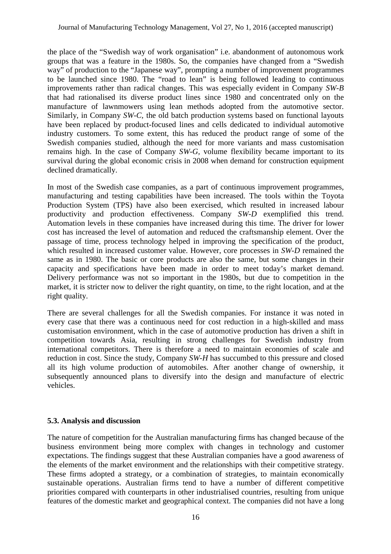the place of the "Swedish way of work organisation" i.e. abandonment of autonomous work groups that was a feature in the 1980s. So, the companies have changed from a "Swedish way" of production to the "Japanese way", prompting a number of improvement programmes to be launched since 1980. The "road to lean" is being followed leading to continuous improvements rather than radical changes. This was especially evident in Company *SW-B* that had rationalised its diverse product lines since 1980 and concentrated only on the manufacture of lawnmowers using lean methods adopted from the automotive sector. Similarly, in Company *SW-C,* the old batch production systems based on functional layouts have been replaced by product-focused lines and cells dedicated to individual automotive industry customers. To some extent, this has reduced the product range of some of the Swedish companies studied, although the need for more variants and mass customisation remains high. In the case of Company *SW-G,* volume flexibility became important to its survival during the global economic crisis in 2008 when demand for construction equipment declined dramatically.

In most of the Swedish case companies, as a part of continuous improvement programmes, manufacturing and testing capabilities have been increased. The tools within the Toyota Production System (TPS) have also been exercised, which resulted in increased labour productivity and production effectiveness. Company *SW-D* exemplified this trend. Automation levels in these companies have increased during this time. The driver for lower cost has increased the level of automation and reduced the craftsmanship element. Over the passage of time, process technology helped in improving the specification of the product, which resulted in increased customer value. However, core processes in *SW-D* remained the same as in 1980. The basic or core products are also the same, but some changes in their capacity and specifications have been made in order to meet today's market demand. Delivery performance was not so important in the 1980s, but due to competition in the market, it is stricter now to deliver the right quantity, on time, to the right location, and at the right quality.

There are several challenges for all the Swedish companies. For instance it was noted in every case that there was a continuous need for cost reduction in a high-skilled and mass customisation environment, which in the case of automotive production has driven a shift in competition towards Asia, resulting in strong challenges for Swedish industry from international competitors. There is therefore a need to maintain economies of scale and reduction in cost. Since the study, Company *SW-H* has succumbed to this pressure and closed all its high volume production of automobiles. After another change of ownership, it subsequently announced plans to diversify into the design and manufacture of electric vehicles.

### **5.3. Analysis and discussion**

The nature of competition for the Australian manufacturing firms has changed because of the business environment being more complex with changes in technology and customer expectations. The findings suggest that these Australian companies have a good awareness of the elements of the market environment and the relationships with their competitive strategy. These firms adopted a strategy, or a combination of strategies, to maintain economically sustainable operations. Australian firms tend to have a number of different competitive priorities compared with counterparts in other industrialised countries, resulting from unique features of the domestic market and geographical context. The companies did not have a long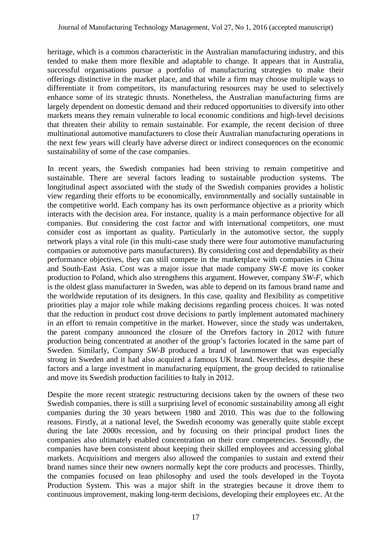heritage, which is a common characteristic in the Australian manufacturing industry, and this tended to make them more flexible and adaptable to change. It appears that in Australia, successful organisations pursue a portfolio of manufacturing strategies to make their offerings distinctive in the market place, and that while a firm may choose multiple ways to differentiate it from competitors, its manufacturing resources may be used to selectively enhance some of its strategic thrusts. Nonetheless, the Australian manufacturing firms are largely dependent on domestic demand and their reduced opportunities to diversify into other markets means they remain vulnerable to local economic conditions and high-level decisions that threaten their ability to remain sustainable. For example, the recent decision of three multinational automotive manufacturers to close their Australian manufacturing operations in the next few years will clearly have adverse direct or indirect consequences on the economic sustainability of some of the case companies.

In recent years, the Swedish companies had been striving to remain competitive and sustainable. There are several factors leading to sustainable production systems. The longitudinal aspect associated with the study of the Swedish companies provides a holistic view regarding their efforts to be economically, environmentally and socially sustainable in the competitive world. Each company has its own performance objective as a priority which interacts with the decision area. For instance, quality is a main performance objective for all companies. But considering the cost factor and with international competitors, one must consider cost as important as quality. Particularly in the automotive sector, the supply network plays a vital role (in this multi-case study there were four automotive manufacturing companies or automotive parts manufacturers). By considering cost and dependability as their performance objectives, they can still compete in the marketplace with companies in China and South-East Asia. Cost was a major issue that made company *SW-E* move its cooker production to Poland, which also strengthens this argument. However, company *SW-F*, which is the oldest glass manufacturer in Sweden, was able to depend on its famous brand name and the worldwide reputation of its designers. In this case, quality and flexibility as competitive priorities play a major role while making decisions regarding process choices. It was noted that the reduction in product cost drove decisions to partly implement automated machinery in an effort to remain competitive in the market. However, since the study was undertaken, the parent company announced the closure of the Orrefors factory in 2012 with future production being concentrated at another of the group's factories located in the same part of Sweden. Similarly, Company *SW-B* produced a brand of lawnmower that was especially strong in Sweden and it had also acquired a famous UK brand. Nevertheless, despite these factors and a large investment in manufacturing equipment, the group decided to rationalise and move its Swedish production facilities to Italy in 2012.

Despite the more recent strategic restructuring decisions taken by the owners of these two Swedish companies, there is still a surprising level of economic sustainability among all eight companies during the 30 years between 1980 and 2010. This was due to the following reasons. Firstly, at a national level, the Swedish economy was generally quite stable except during the late 2000s recession, and by focusing on their principal product lines the companies also ultimately enabled concentration on their core competencies. Secondly, the companies have been consistent about keeping their skilled employees and accessing global markets. Acquisitions and mergers also allowed the companies to sustain and extend their brand names since their new owners normally kept the core products and processes. Thirdly, the companies focused on lean philosophy and used the tools developed in the Toyota Production System. This was a major shift in the strategies because it drove them to continuous improvement, making long-term decisions, developing their employees etc. At the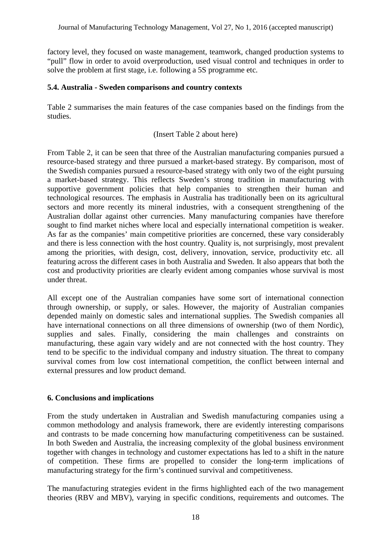factory level, they focused on waste management, teamwork, changed production systems to "pull" flow in order to avoid overproduction, used visual control and techniques in order to solve the problem at first stage, i.e. following a 5S programme etc.

#### **5.4. Australia - Sweden comparisons and country contexts**

Table 2 summarises the main features of the case companies based on the findings from the studies.

#### (Insert Table 2 about here)

From Table 2, it can be seen that three of the Australian manufacturing companies pursued a resource-based strategy and three pursued a market-based strategy. By comparison, most of the Swedish companies pursued a resource-based strategy with only two of the eight pursuing a market-based strategy. This reflects Sweden's strong tradition in manufacturing with supportive government policies that help companies to strengthen their human and technological resources. The emphasis in Australia has traditionally been on its agricultural sectors and more recently its mineral industries, with a consequent strengthening of the Australian dollar against other currencies. Many manufacturing companies have therefore sought to find market niches where local and especially international competition is weaker. As far as the companies' main competitive priorities are concerned, these vary considerably and there is less connection with the host country. Quality is, not surprisingly, most prevalent among the priorities, with design, cost, delivery, innovation, service, productivity etc. all featuring across the different cases in both Australia and Sweden. It also appears that both the cost and productivity priorities are clearly evident among companies whose survival is most under threat.

All except one of the Australian companies have some sort of international connection through ownership, or supply, or sales. However, the majority of Australian companies depended mainly on domestic sales and international supplies. The Swedish companies all have international connections on all three dimensions of ownership (two of them Nordic), supplies and sales. Finally, considering the main challenges and constraints on manufacturing, these again vary widely and are not connected with the host country. They tend to be specific to the individual company and industry situation. The threat to company survival comes from low cost international competition, the conflict between internal and external pressures and low product demand.

#### **6. Conclusions and implications**

From the study undertaken in Australian and Swedish manufacturing companies using a common methodology and analysis framework, there are evidently interesting comparisons and contrasts to be made concerning how manufacturing competitiveness can be sustained. In both Sweden and Australia, the increasing complexity of the global business environment together with changes in technology and customer expectations has led to a shift in the nature of competition. These firms are propelled to consider the long-term implications of manufacturing strategy for the firm's continued survival and competitiveness.

The manufacturing strategies evident in the firms highlighted each of the two management theories (RBV and MBV), varying in specific conditions, requirements and outcomes. The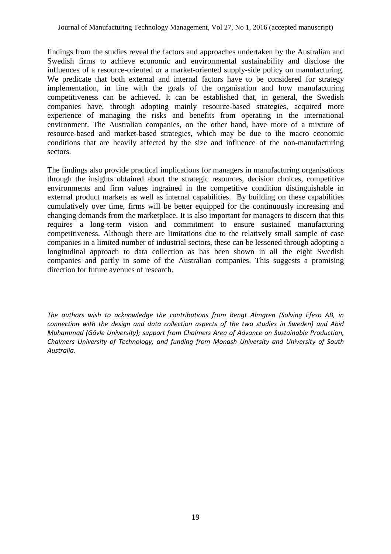findings from the studies reveal the factors and approaches undertaken by the Australian and Swedish firms to achieve economic and environmental sustainability and disclose the influences of a resource-oriented or a market-oriented supply-side policy on manufacturing. We predicate that both external and internal factors have to be considered for strategy implementation, in line with the goals of the organisation and how manufacturing competitiveness can be achieved. It can be established that, in general, the Swedish companies have, through adopting mainly resource-based strategies, acquired more experience of managing the risks and benefits from operating in the international environment. The Australian companies, on the other hand, have more of a mixture of resource-based and market-based strategies, which may be due to the macro economic conditions that are heavily affected by the size and influence of the non-manufacturing sectors.

The findings also provide practical implications for managers in manufacturing organisations through the insights obtained about the strategic resources, decision choices, competitive environments and firm values ingrained in the competitive condition distinguishable in external product markets as well as internal capabilities. By building on these capabilities cumulatively over time, firms will be better equipped for the continuously increasing and changing demands from the marketplace. It is also important for managers to discern that this requires a long-term vision and commitment to ensure sustained manufacturing competitiveness. Although there are limitations due to the relatively small sample of case companies in a limited number of industrial sectors, these can be lessened through adopting a longitudinal approach to data collection as has been shown in all the eight Swedish companies and partly in some of the Australian companies. This suggests a promising direction for future avenues of research.

*The authors wish to acknowledge the contributions from Bengt Almgren (Solving Efeso AB, in connection with the design and data collection aspects of the two studies in Sweden) and Abid Muhammad (Gävle University); support from Chalmers Area of Advance on Sustainable Production, Chalmers University of Technology; and funding from Monash University and University of South Australia.*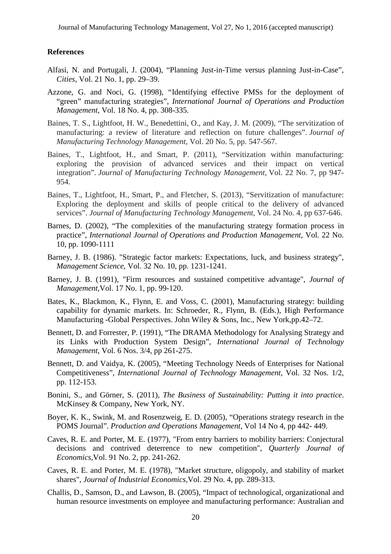#### **References**

- Alfasi, N. and Portugali, J. (2004), "Planning Just-in-Time versus planning Just-in-Case", *Cities*, Vol. 21 No. 1, pp. 29–39.
- Azzone, G. and Noci, G. (1998), "Identifying effective PMSs for the deployment of "green" manufacturing strategies", *International Journal of Operations and Production Management,* Vol. 18 No. 4, pp. 308-335.
- Baines, T. S., Lightfoot, H. W., Benedettini, O., and Kay, J. M. (2009), "The servitization of manufacturing: a review of literature and reflection on future challenges". *Journal of Manufacturing Technology Management*, Vol. 20 No. 5, pp. 547-567.
- Baines, T., Lightfoot, H., and Smart, P. (2011), "Servitization within manufacturing: exploring the provision of advanced services and their impact on vertical integration". *Journal of Manufacturing Technology Management*, Vol. 22 No. 7, pp 947- 954.
- Baines, T., Lightfoot, H., Smart, P., and Fletcher, S. (2013), "Servitization of manufacture: Exploring the deployment and skills of people critical to the delivery of advanced services". *Journal of Manufacturing Technology Management*, Vol. 24 No. 4, pp 637-646.
- Barnes, D. (2002), "The complexities of the manufacturing strategy formation process in practice", *International Journal of Operations and Production Management*, Vol. 22 No. 10, pp. 1090-1111
- Barney, J. B. (1986). "Strategic factor markets: Expectations, luck, and business strategy", *Management Science*, Vol. 32 No. 10, pp. 1231-1241.
- Barney, J. B. (1991), "Firm resources and sustained competitive advantage", *Journal of Management,*Vol. 17 No. 1, pp. 99-120.
- Bates, K., Blackmon, K., Flynn, E. and Voss, C. (2001), Manufacturing strategy: building capability for dynamic markets. In: Schroeder, R., Flynn, B. (Eds.), High Performance Manufacturing -Global Perspectives. John Wiley & Sons, Inc., New York,pp.42–72.
- Bennett, D. and Forrester, P. (1991), "The DRAMA Methodology for Analysing Strategy and its Links with Production System Design", *International Journal of Technology Management*, Vol. 6 Nos. 3/4, pp 261-275.
- Bennett, D. and Vaidya, K. (2005), "Meeting Technology Needs of Enterprises for National Competitiveness", *International Journal of Technology Management*, Vol. 32 Nos. 1/2, pp. 112-153.
- Bonini, S., and Görner, S. (2011), *The Business of Sustainability: Putting it into practice*. McKinsey & Company, New York, NY.
- Boyer, K. K., Swink, M. and Rosenzweig, E. D. (2005), "Operations strategy research in the POMS Journal". *Production and Operations Management*, Vol 14 No 4, pp 442- 449.
- Caves, R. E. and Porter, M. E. (1977), "From entry barriers to mobility barriers: Conjectural decisions and contrived deterrence to new competition", *Quarterly Journal of Economics,*Vol. 91 No. 2, pp. 241-262.
- Caves, R. E. and Porter, M. E. (1978), "Market structure, oligopoly, and stability of market shares", *Journal of Industrial Economics,*Vol. 29 No. 4, pp. 289-313.
- Challis, D., Samson, D., and Lawson, B. (2005), "Impact of technological, organizational and human resource investments on employee and manufacturing performance: Australian and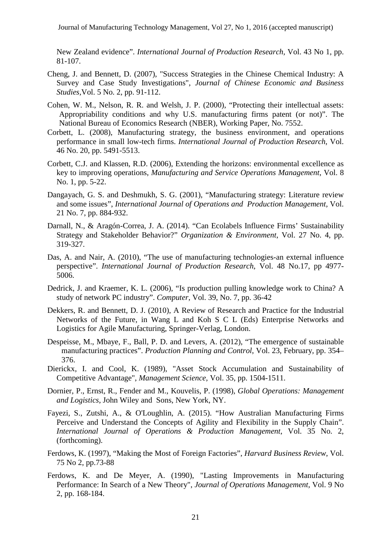New Zealand evidence". *International Journal of Production Research*, Vol. 43 No 1, pp. 81-107.

- Cheng, J. and Bennett, D. (2007), "Success Strategies in the Chinese Chemical Industry: A Survey and Case Study Investigations", *Journal of Chinese Economic and Business Studies,*Vol. 5 No. 2, pp. 91-112.
- Cohen, W. M., Nelson, R. R. and Welsh, J. P. (2000), "Protecting their intellectual assets: Appropriability conditions and why U.S. manufacturing firms patent (or not)". The National Bureau of Economics Research (NBER), Working Paper, No. 7552.
- Corbett, L. (2008), Manufacturing strategy, the business environment, and operations performance in small low-tech firms. *International Journal of Production Research*, Vol. 46 No. 20, pp. 5491-5513.
- Corbett, C.J. and Klassen, R.D. (2006), Extending the horizons: environmental excellence as key to improving operations, *Manufacturing and Service Operations Management*, Vol. 8 No. 1, pp. 5-22.
- Dangayach, G. S. and Deshmukh, S. G. (2001), "Manufacturing strategy: Literature review and some issues", *International Journal of Operations and Production Management,* Vol. 21 No. 7, pp. 884-932.
- Darnall, N., & Aragón-Correa, J. A. (2014). "Can Ecolabels Influence Firms' Sustainability Strategy and Stakeholder Behavior?" *Organization & Environment*, Vol. 27 No. 4, pp. 319-327.
- Das, A. and Nair, A. (2010), "The use of manufacturing technologies-an external influence perspective". *International Journal of Production Research*, Vol. 48 No.17, pp 4977- 5006.
- Dedrick, J. and Kraemer, K. L. (2006), "Is production pulling knowledge work to China? A study of network PC industry". *Computer,* Vol. 39, No. 7, pp. 36-42
- Dekkers, R. and Bennett, D. J. (2010), A Review of Research and Practice for the Industrial Networks of the Future, in Wang L and Koh S C L (Eds) Enterprise Networks and Logistics for Agile Manufacturing, Springer-Verlag, London.
- Despeisse, M., Mbaye, F., Ball, P. D. and Levers, A. (2012), "The emergence of sustainable manufacturing practices". *Production Planning and Control*, Vol. 23, February, pp. 354– 376.
- Dierickx, I. and Cool, K. (1989), "Asset Stock Accumulation and Sustainability of Competitive Advantage", *Management Science,* Vol. 35, pp. 1504-1511.
- Dornier, P., Ernst, R., Fender and M., Kouvelis, P. (1998), *Global Operations: Management and Logistics*, John Wiley and Sons, New York, NY.
- Fayezi, S., Zutshi, A., & O'Loughlin, A. (2015). "How Australian Manufacturing Firms Perceive and Understand the Concepts of Agility and Flexibility in the Supply Chain". *International Journal of Operations & Production Management*, Vol. 35 No. 2, (forthcoming).
- Ferdows, K. (1997), "Making the Most of Foreign Factories", *Harvard Business Review*, Vol. 75 No 2, pp.73-88
- Ferdows, K. and De Meyer, A. (1990), "Lasting Improvements in Manufacturing Performance: In Search of a New Theory", *Journal of Operations Management,* Vol. 9 No 2, pp. 168-184.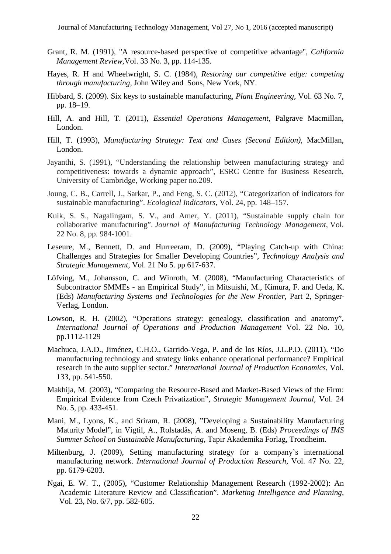- Grant, R. M. (1991), "A resource-based perspective of competitive advantage", *California Management Review,*Vol. 33 No. 3, pp. 114-135.
- Hayes, R. H and Wheelwright, S. C. (1984), *Restoring our competitive edge: competing through manufacturing,* John Wiley and Sons, New York, NY.
- Hibbard, S. (2009). Six keys to sustainable manufacturing, *Plant Engineering,* Vol. 63 No. 7, pp. 18–19.
- Hill, A. and Hill, T. (2011), *Essential Operations Management*, Palgrave Macmillan, London.
- Hill, T. (1993), *Manufacturing Strategy: Text and Cases (Second Edition),* MacMillan, London.
- Jayanthi, S. (1991), "Understanding the relationship between manufacturing strategy and competitiveness: towards a dynamic approach", ESRC Centre for Business Research, University of Cambridge, Working paper no.209.
- Joung, C. B., Carrell, J., Sarkar, P., and Feng, S. C. (2012), "Categorization of indicators for sustainable manufacturing". *Ecological Indicators*, Vol. 24, pp. 148–157.
- Kuik, S. S., Nagalingam, S. V., and Amer, Y. (2011), "Sustainable supply chain for collaborative manufacturing". *Journal of Manufacturing Technology Management*, Vol. 22 No. 8, pp. 984-1001.
- Leseure, M., Bennett, D. and Hurreeram, D. (2009), "Playing Catch-up with China: Challenges and Strategies for Smaller Developing Countries", *Technology Analysis and Strategic Management*, Vol. 21 No 5. pp 617-637.
- Löfving, M., Johansson, C. and Winroth, M. (2008), "Manufacturing Characteristics of Subcontractor SMMEs - an Empirical Study", in Mitsuishi, M., Kimura, F. and Ueda, K. (Eds) *Manufacturing Systems and Technologies for the New Frontier*, Part 2, Springer-Verlag, London.
- Lowson, R. H. (2002), "Operations strategy: genealogy, classification and anatomy", *International Journal of Operations and Production Management* Vol. 22 No. 10, pp.1112-1129
- Machuca, J.A.D., Jiménez, C.H.O., Garrido-Vega, P. and de los Ríos, J.L.P.D. (2011), "Do manufacturing technology and strategy links enhance operational performance? Empirical research in the auto supplier sector." *International Journal of Production Economics,* Vol. 133, pp. 541-550.
- Makhija, M. (2003), "Comparing the Resource-Based and Market-Based Views of the Firm: Empirical Evidence from Czech Privatization", *Strategic Management Journal*, Vol. 24 No. 5, pp. 433-451.
- Mani, M., Lyons, K., and Sriram, R. (2008), "Developing a Sustainability Manufacturing Maturity Model", in Vigtil, A., Rolstadås, A. and Moseng, B. (Eds) *Proceedings of IMS Summer School on Sustainable Manufacturing*, Tapir Akademika Forlag, Trondheim.
- Miltenburg, J. (2009), Setting manufacturing strategy for a company's international manufacturing network. *International Journal of Production Research*, Vol. 47 No. 22, pp. 6179-6203.
- Ngai, E. W. T., (2005), "Customer Relationship Management Research (1992-2002): An Academic Literature Review and Classification". *Marketing Intelligence and Planning*, Vol. 23, No. 6/7, pp. 582-605.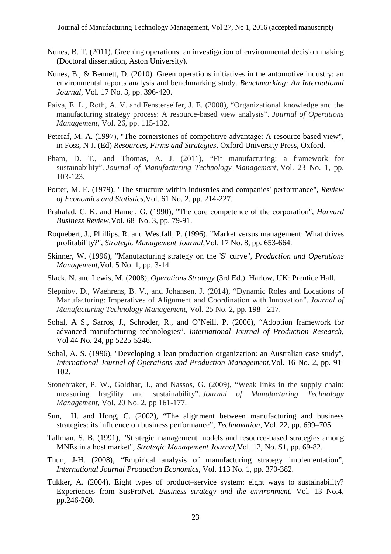- Nunes, B. T. (2011). Greening operations: an investigation of environmental decision making (Doctoral dissertation, Aston University).
- Nunes, B., & Bennett, D. (2010). Green operations initiatives in the automotive industry: an environmental reports analysis and benchmarking study. *Benchmarking: An International Journal*, Vol. 17 No. 3, pp. 396-420.
- Paiva, E. L., Roth, A. V. and Fensterseifer, J. E. (2008), "Organizational knowledge and the manufacturing strategy process: A resource-based view analysis". *Journal of Operations Management,* Vol. 26, pp. 115-132.
- Peteraf, M. A. (1997), "The cornerstones of competitive advantage: A resource-based view", in Foss, N J. (Ed) *Resources, Firms and Strategies,* Oxford University Press, Oxford.
- Pham, D. T., and Thomas, A. J. (2011), "Fit manufacturing: a framework for sustainability". *Journal of Manufacturing Technology Management*, Vol. 23 No. 1, pp. 103-123.
- Porter, M. E. (1979), "The structure within industries and companies' performance", *Review of Economics and Statistics,*Vol. 61 No. 2, pp. 214-227.
- Prahalad, C. K. and Hamel, G. (1990), "The core competence of the corporation", *Harvard Business Review,*Vol. 68 No. 3, pp. 79-91.
- Roquebert, J., Phillips, R. and Westfall, P. (1996), "Market versus management: What drives profitability?", *Strategic Management Journal,*Vol. 17 No. 8, pp. 653-664.
- Skinner, W. (1996), "Manufacturing strategy on the 'S' curve", *Production and Operations Management,*Vol. 5 No. 1, pp. 3-14.
- Slack, N. and Lewis, M. (2008), *Operations Strategy* (3rd Ed.). Harlow, UK: Prentice Hall.
- Slepniov, D., Waehrens, B. V., and Johansen, J. (2014), "Dynamic Roles and Locations of Manufacturing: Imperatives of Alignment and Coordination with Innovation". *Journal of Manufacturing Technology Management*, Vol. 25 No. 2, pp. 198 - 217.
- Sohal, A S., Sarros, J., Schroder, R., and O'Neill, P. (2006), "Adoption framework for advanced manufacturing technologies". *International Journal of Production Research*, Vol 44 No. 24, pp 5225-5246.
- Sohal, A. S. (1996), "Developing a lean production organization: an Australian case study", *International Journal of Operations and Production Management,*Vol. 16 No. 2, pp. 91- 102.
- Stonebraker, P. W., Goldhar, J., and Nassos, G. (2009), "Weak links in the supply chain: measuring fragility and sustainability". *Journal of Manufacturing Technology Management*, Vol. 20 No. 2, pp 161-177.
- Sun, H. and Hong, C. (2002), "The alignment between manufacturing and business strategies: its influence on business performance", *Technovation*, Vol. 22, pp. 699–705.
- Tallman, S. B. (1991), "Strategic management models and resource-based strategies among MNEs in a host market", *Strategic Management Journal,*Vol. 12, No. S1, pp. 69-82.
- Thun, J-H. (2008), "Empirical analysis of manufacturing strategy implementation", *International Journal Production Economics*, Vol. 113 No. 1, pp. 370-382.
- Tukker, A. (2004). Eight types of product–service system: eight ways to sustainability? Experiences from SusProNet. *Business strategy and the environment*, Vol. 13 No.4, pp.246-260.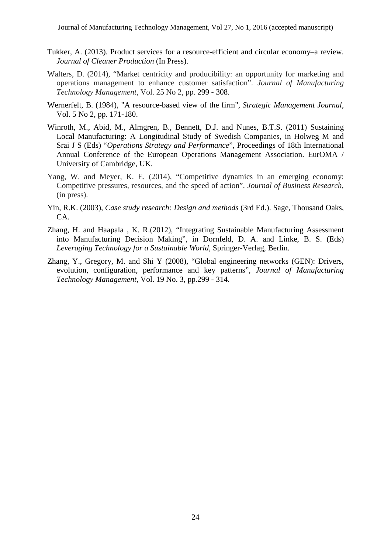- Tukker, A. (2013). Product services for a resource-efficient and circular economy–a review. *Journal of Cleaner Production* (In Press).
- Walters, D. (2014), "Market centricity and producibility: an opportunity for marketing and operations management to enhance customer satisfaction". *Journal of Manufacturing Technology Management*, Vol. 25 No 2, pp. 299 - 308.
- Wernerfelt, B. (1984), "A resource-based view of the firm", *Strategic Management Journal*, Vol. 5 No 2, pp. 171-180.
- Winroth, M., Abid, M., Almgren, B., Bennett, D.J. and Nunes, B.T.S. (2011) Sustaining Local Manufacturing: A Longitudinal Study of Swedish Companies, in Holweg M and Srai J S (Eds) "*Operations Strategy and Performance*", Proceedings of 18th International Annual Conference of the European Operations Management Association. EurOMA / University of Cambridge, UK.
- Yang, W. and Meyer, K. E. (2014), "Competitive dynamics in an emerging economy: Competitive pressures, resources, and the speed of action". *Journal of Business Research,*  (in press).
- Yin, R.K. (2003), *Case study research: Design and methods* (3rd Ed.). Sage, Thousand Oaks, CA.
- Zhang, H. and Haapala , K. R.(2012), "Integrating Sustainable Manufacturing Assessment into Manufacturing Decision Making", in Dornfeld, D. A. and Linke, B. S. (Eds) *Leveraging Technology for a Sustainable World*, Springer-Verlag, Berlin.
- Zhang, Y., Gregory, M. and Shi Y (2008), "Global engineering networks (GEN): Drivers, evolution, configuration, performance and key patterns", *Journal of Manufacturing Technology Management*, Vol. 19 No. 3, pp.299 - 314.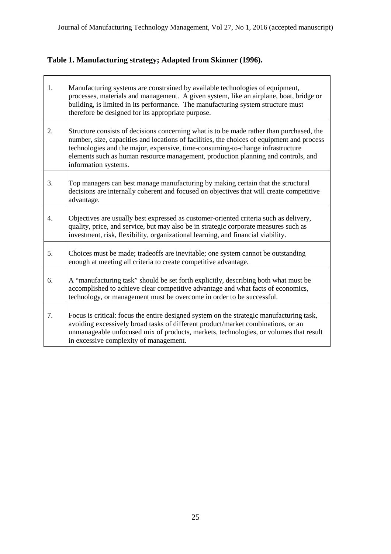# **Table 1. Manufacturing strategy; Adapted from Skinner (1996).**

 $\mathbf{r}$ 

| 1. | Manufacturing systems are constrained by available technologies of equipment,<br>processes, materials and management. A given system, like an airplane, boat, bridge or<br>building, is limited in its performance. The manufacturing system structure must<br>therefore be designed for its appropriate purpose.                                                                     |
|----|---------------------------------------------------------------------------------------------------------------------------------------------------------------------------------------------------------------------------------------------------------------------------------------------------------------------------------------------------------------------------------------|
| 2. | Structure consists of decisions concerning what is to be made rather than purchased, the<br>number, size, capacities and locations of facilities, the choices of equipment and process<br>technologies and the major, expensive, time-consuming-to-change infrastructure<br>elements such as human resource management, production planning and controls, and<br>information systems. |
| 3. | Top managers can best manage manufacturing by making certain that the structural<br>decisions are internally coherent and focused on objectives that will create competitive<br>advantage.                                                                                                                                                                                            |
| 4. | Objectives are usually best expressed as customer-oriented criteria such as delivery,<br>quality, price, and service, but may also be in strategic corporate measures such as<br>investment, risk, flexibility, organizational learning, and financial viability.                                                                                                                     |
| 5. | Choices must be made; tradeoffs are inevitable; one system cannot be outstanding<br>enough at meeting all criteria to create competitive advantage.                                                                                                                                                                                                                                   |
| 6. | A "manufacturing task" should be set forth explicitly, describing both what must be<br>accomplished to achieve clear competitive advantage and what facts of economics,<br>technology, or management must be overcome in order to be successful.                                                                                                                                      |
| 7. | Focus is critical: focus the entire designed system on the strategic manufacturing task,<br>avoiding excessively broad tasks of different product/market combinations, or an<br>unmanageable unfocused mix of products, markets, technologies, or volumes that result<br>in excessive complexity of management.                                                                       |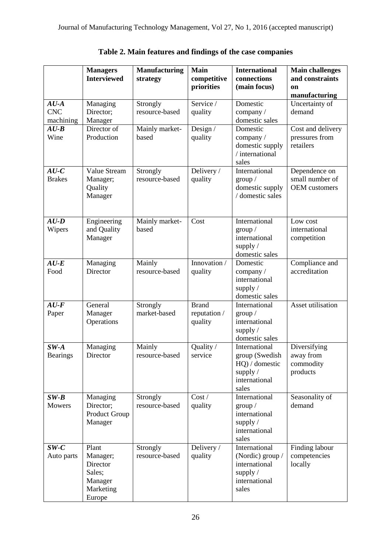|                                   | <b>Managers</b><br><b>Interviewed</b>                                     | <b>Manufacturing</b><br>strategy | <b>Main</b><br>competitive<br>priorities | <b>International</b><br>connections<br>(main focus)                                       | <b>Main challenges</b><br>and constraints<br>on<br>manufacturing |
|-----------------------------------|---------------------------------------------------------------------------|----------------------------------|------------------------------------------|-------------------------------------------------------------------------------------------|------------------------------------------------------------------|
| $AU-A$<br><b>CNC</b><br>machining | Managing<br>Director;<br>Manager                                          | Strongly<br>resource-based       | Service /<br>quality                     | Domestic<br>company/<br>domestic sales                                                    | Uncertainty of<br>demand                                         |
| $A$ U-B<br>Wine                   | Director of<br>Production                                                 | Mainly market-<br>based          | Design $/$<br>quality                    | Domestic<br>company $\sqrt{ }$<br>domestic supply<br>/ international<br>sales             | Cost and delivery<br>pressures from<br>retailers                 |
| $AU-C$<br><b>Brakes</b>           | Value Stream<br>Manager;<br>Quality<br>Manager                            | Strongly<br>resource-based       | Delivery /<br>quality                    | International<br>group /<br>domestic supply<br>/ domestic sales                           | Dependence on<br>small number of<br><b>OEM</b> customers         |
| $A$ U-D<br>Wipers                 | Engineering<br>and Quality<br>Manager                                     | Mainly market-<br>based          | Cost                                     | International<br>group /<br>international<br>supply /<br>domestic sales                   | Low cost<br>international<br>competition                         |
| $AU-E$<br>Food                    | Managing<br>Director                                                      | Mainly<br>resource-based         | Innovation /<br>quality                  | Domestic<br>company /<br>international<br>supply $/$<br>domestic sales                    | Compliance and<br>accreditation                                  |
| $AU$ - $F$<br>Paper               | General<br>Manager<br>Operations                                          | Strongly<br>market-based         | <b>Brand</b><br>reputation /<br>quality  | International<br>group /<br>international<br>supply $/$<br>domestic sales                 | Asset utilisation                                                |
| $SW-A$<br>Bearings                | Managing<br>Director                                                      | Mainly<br>resource-based         | Quality /<br>service                     | International<br>group (Swedish<br>HQ) / domestic<br>supply $/$<br>international<br>sales | Diversifying<br>away from<br>commodity<br>products               |
| $SW-B$<br><b>Mowers</b>           | Managing<br>Director;<br>Product Group<br>Manager                         | Strongly<br>resource-based       | Cost /<br>quality                        | International<br>group /<br>international<br>supply /<br>international<br>sales           | Seasonality of<br>demand                                         |
| $SW-C$<br>Auto parts              | Plant<br>Manager;<br>Director<br>Sales;<br>Manager<br>Marketing<br>Europe | Strongly<br>resource-based       | Delivery /<br>quality                    | International<br>(Nordic) group /<br>international<br>supply /<br>international<br>sales  | Finding labour<br>competencies<br>locally                        |

**Table 2. Main features and findings of the case companies**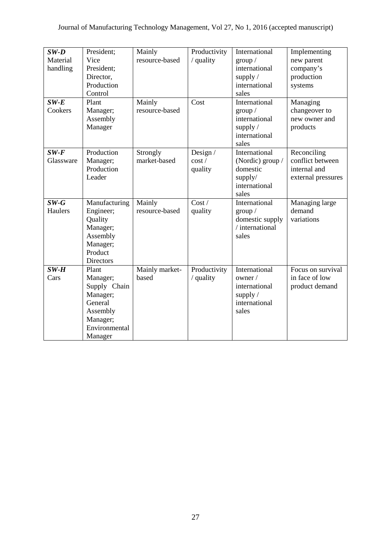| $SW-D$        | President;    | Mainly         | Productivity | International            | Implementing       |
|---------------|---------------|----------------|--------------|--------------------------|--------------------|
| Material      | Vice          | resource-based | / quality    |                          | new parent         |
|               | President;    |                |              | group /<br>international |                    |
| handling      |               |                |              |                          | company's          |
|               | Director,     |                |              | supply $/$               | production         |
|               | Production    |                |              | international            | systems            |
|               | Control       |                |              | sales                    |                    |
| $SW-E$        | Plant         | Mainly         | Cost         | International            | Managing           |
| Cookers       | Manager;      | resource-based |              | group /                  | changeover to      |
|               | Assembly      |                |              | international            | new owner and      |
|               | Manager       |                |              | supply $/$               | products           |
|               |               |                |              | international            |                    |
|               |               |                |              | sales                    |                    |
| $SW\text{-}F$ | Production    | Strongly       | Design $/$   | International            | Reconciling        |
| Glassware     | Manager;      | market-based   | cost/        | (Nordic) group /         | conflict between   |
|               | Production    |                | quality      | domestic                 | internal and       |
|               | Leader        |                |              | supply/                  | external pressures |
|               |               |                |              | international            |                    |
|               |               |                |              | sales                    |                    |
| $SW-G$        | Manufacturing | Mainly         | Cost /       | International            | Managing large     |
| Haulers       | Engineer;     | resource-based | quality      | group /                  | demand             |
|               | Quality       |                |              | domestic supply          | variations         |
|               | Manager;      |                |              | / international          |                    |
|               | Assembly      |                |              | sales                    |                    |
|               | Manager;      |                |              |                          |                    |
|               | Product       |                |              |                          |                    |
|               |               |                |              |                          |                    |
|               | Directors     |                |              |                          |                    |
| $SW-H$        | Plant         | Mainly market- | Productivity | International            | Focus on survival  |
| Cars          | Manager;      | based          | / quality    | owner /                  | in face of low     |
|               | Supply Chain  |                |              | international            | product demand     |
|               | Manager;      |                |              | supply /                 |                    |
|               | General       |                |              | international            |                    |
|               | Assembly      |                |              | sales                    |                    |
|               | Manager;      |                |              |                          |                    |
|               | Environmental |                |              |                          |                    |
|               | Manager       |                |              |                          |                    |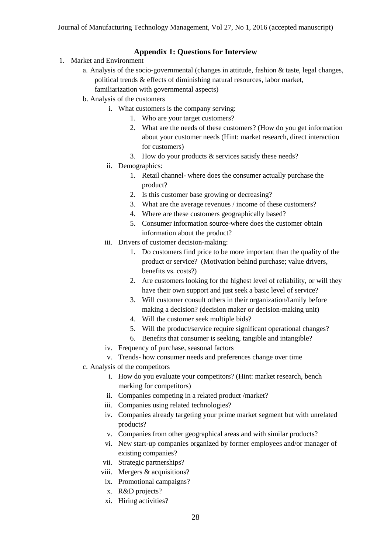### **Appendix 1: Questions for Interview**

- 1. Market and Environment
	- a. Analysis of the socio-governmental (changes in attitude, fashion  $&$  taste, legal changes, political trends & effects of diminishing natural resources, labor market, familiarization with governmental aspects)
	- b. Analysis of the customers
		- i. What customers is the company serving:
			- 1. Who are your target customers?
			- 2. What are the needs of these customers? (How do you get information about your customer needs (Hint: market research, direct interaction for customers)
			- 3. How do your products & services satisfy these needs?
		- ii. Demographics:
			- 1. Retail channel- where does the consumer actually purchase the product?
			- 2. Is this customer base growing or decreasing?
			- 3. What are the average revenues / income of these customers?
			- 4. Where are these customers geographically based?
			- 5. Consumer information source-where does the customer obtain information about the product?
		- iii. Drivers of customer decision-making:
			- 1. Do customers find price to be more important than the quality of the product or service? (Motivation behind purchase; value drivers, benefits vs. costs?)
			- 2. Are customers looking for the highest level of reliability, or will they have their own support and just seek a basic level of service?
			- 3. Will customer consult others in their organization/family before making a decision? (decision maker or decision-making unit)
			- 4. Will the customer seek multiple bids?
			- 5. Will the product/service require significant operational changes?
			- 6. Benefits that consumer is seeking, tangible and intangible?
		- iv. Frequency of purchase, seasonal factors
		- v. Trends- how consumer needs and preferences change over time
	- c. Analysis of the competitors
		- i. How do you evaluate your competitors? (Hint: market research, bench marking for competitors)
		- ii. Companies competing in a related product /market?
		- iii. Companies using related technologies?
		- iv. Companies already targeting your prime market segment but with unrelated products?
		- v. Companies from other geographical areas and with similar products?
		- vi. New start-up companies organized by former employees and/or manager of existing companies?
		- vii. Strategic partnerships?
		- viii. Mergers & acquisitions?
		- ix. Promotional campaigns?
		- x. R&D projects?
		- xi. Hiring activities?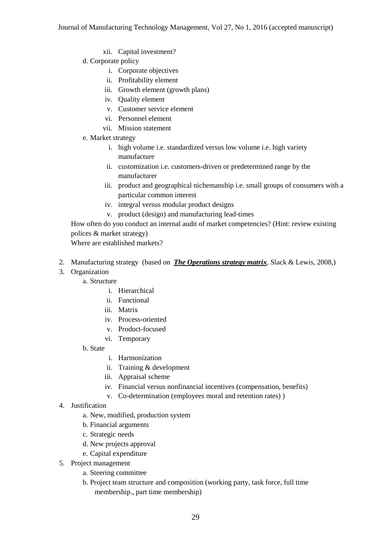- xii. Capital investment?
- d. Corporate policy
	- i. Corporate objectives
	- ii. Profitability element
	- iii. Growth element (growth plans)
	- iv. Quality element
	- v. Customer service element
	- vi. Personnel element
	- vii. Mission statement
- e. Market strategy
	- i. high volume i.e. standardized versus low volume i.e. high variety manufacture
	- ii. customization i.e. customers-driven or predetermined range by the manufacturer
	- iii. product and geographical nichemanship i.e. small groups of consumers with a particular common interest
	- iv. integral versus modular product designs
	- v. product (design) and manufacturing lead-times

How often do you conduct an internal audit of market competencies? (Hint: review existing polices & market strategy)

Where are established markets?

- 2. Manufacturing strategy (based on *The Operations strategy matrix*, Slack & Lewis, 2008,)
- 3. Organization
	- a. Structure
		- i. Hierarchical
		- ii. Functional
		- iii. Matrix
		- iv. Process-oriented
		- v. Product-focused
		- vi. Temporary
	- b. State
		- i. Harmonization
		- ii. Training & development
		- iii. Appraisal scheme
		- iv. Financial versus nonfinancial incentives (compensation, benefits)
		- v. Co-determination (employees moral and retention rates) )
- 4. Justification
	- a. New, modified, production system
	- b. Financial arguments
	- c. Strategic needs
	- d. New projects approval
	- e. Capital expenditure
- 5. Project management
	- a. Steering committee
	- b. Project team structure and composition (working party, task force, full time membership., part time membership)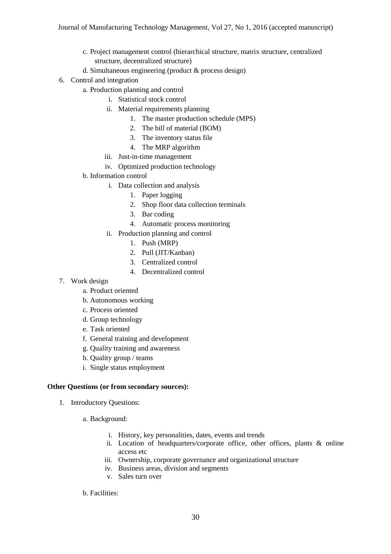- c. Project management control (hierarchical structure, matrix structure, centralized structure, decentralized structure)
- d. Simultaneous engineering (product & process design)
- 6. Control and integration
	- a. Production planning and control
		- i. Statistical stock control
		- ii. Material requirements planning
			- 1. The master production schedule (MPS)
			- 2. The bill of material (BOM)
			- 3. The inventory status file
			- 4. The MRP algorithm
		- iii. Just-in-time management
		- iv. Optimized production technology
	- b. Information control
		- i. Data collection and analysis
			- 1. Paper logging
			- 2. Shop floor data collection terminals
			- 3. Bar coding
			- 4. Automatic process monitoring
		- ii. Production planning and control
			- 1. Push (MRP)
			- 2. Pull (JIT/Kanban)
			- 3. Centralized control
			- 4. Decentralized control

#### 7. Work design

- a. Product oriented
- b. Autonomous working
- c. Process oriented
- d. Group technology
- e. Task oriented
- f. General training and development
- g. Quality training and awareness
- h. Quality group / teams
- i. Single status employment

#### **Other Questions (or from secondary sources):**

- 1. Introductory Questions:
	- a. Background:
		- i. History, key personalities, dates, events and trends
		- ii. Location of headquarters/corporate office, other offices, plants & online access etc
		- iii. Ownership, corporate governance and organizational structure
		- iv. Business areas, division and segments
		- v. Sales turn over
	- b. Facilities: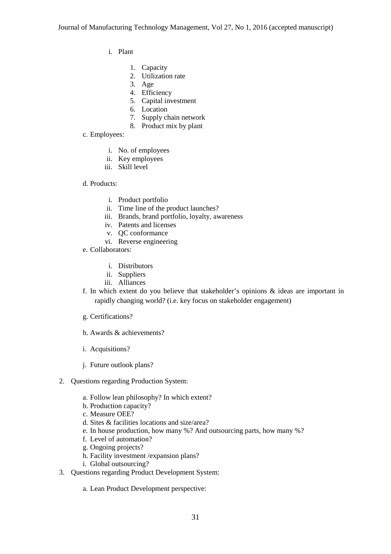- i. Plant
	- 1. Capacity
	- 2. Utilization rate
	- 3. Age
	- 4. Efficiency
	- 5. Capital investment
	- 6. Location
	- 7. Supply chain network
	- 8. Product mix by plant
- c. Employees:
	- i. No. of employees
	- ii. Key employees
	- iii. Skill level
- d. Products:
	- i. Product portfolio
	- ii. Time line of the product launches?
	- iii. Brands, brand portfolio, loyalty, awareness
	- iv. Patents and licenses
	- v. QC conformance
	- vi. Reverse engineering
- e. Collaborators:
	- i. Distributors
	- ii. Suppliers
	- iii. Alliances
- f. In which extent do you believe that stakeholder's opinions & ideas are important in rapidly changing world? (i.e. key focus on stakeholder engagement)
- g. Certifications?
- h. Awards & achievements?
- i. Acquisitions?
- j. Future outlook plans?
- 2. Questions regarding Production System:
	- a. Follow lean philosophy? In which extent?
	- b. Production capacity?
	- c. Measure OEE?
	- d. Sites & facilities locations and size/area?
	- e. In house production, how many %? And outsourcing parts, how many %?
	- f. Level of automation?
	- g. Ongoing projects?
	- h. Facility investment /expansion plans?
	- i. Global outsourcing?
- 3. Questions regarding Product Development System:
	- a. Lean Product Development perspective: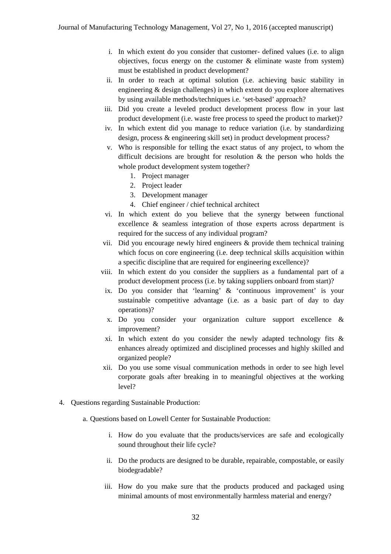- i. In which extent do you consider that customer- defined values (i.e. to align objectives, focus energy on the customer & eliminate waste from system) must be established in product development?
- ii. In order to reach at optimal solution (i.e. achieving basic stability in engineering & design challenges) in which extent do you explore alternatives by using available methods/techniques i.e. 'set-based' approach?
- iii. Did you create a leveled product development process flow in your last product development (i.e. waste free process to speed the product to market)?
- iv. In which extent did you manage to reduce variation (i.e. by standardizing design, process & engineering skill set) in product development process?
- v. Who is responsible for telling the exact status of any project, to whom the difficult decisions are brought for resolution  $\&$  the person who holds the whole product development system together?
	- 1. Project manager
	- 2. Project leader
	- 3. Development manager
	- 4. Chief engineer / chief technical architect
- vi. In which extent do you believe that the synergy between functional excellence & seamless integration of those experts across department is required for the success of any individual program?
- vii. Did you encourage newly hired engineers & provide them technical training which focus on core engineering (i.e. deep technical skills acquisition within a specific discipline that are required for engineering excellence)?
- viii. In which extent do you consider the suppliers as a fundamental part of a product development process (i.e. by taking suppliers onboard from start)?
	- ix. Do you consider that 'learning' & 'continuous improvement' is your sustainable competitive advantage (i.e. as a basic part of day to day operations)?
	- x. Do you consider your organization culture support excellence & improvement?
	- xi. In which extent do you consider the newly adapted technology fits & enhances already optimized and disciplined processes and highly skilled and organized people?
- xii. Do you use some visual communication methods in order to see high level corporate goals after breaking in to meaningful objectives at the working level?
- 4. Questions regarding Sustainable Production:
	- a. Questions based on Lowell Center for Sustainable Production:
		- i. How do you evaluate that the products/services are safe and ecologically sound throughout their life cycle?
		- ii. Do the products are designed to be durable, repairable, compostable, or easily biodegradable?
		- iii. How do you make sure that the products produced and packaged using minimal amounts of most environmentally harmless material and energy?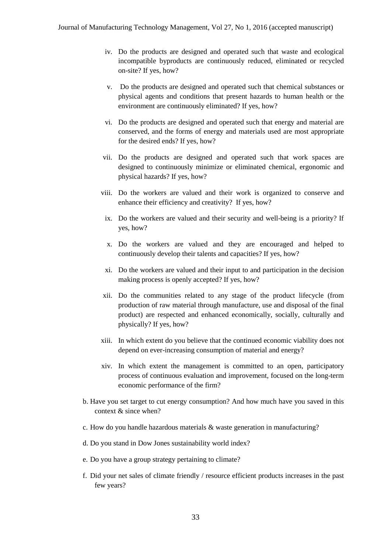- iv. Do the products are designed and operated such that waste and ecological incompatible byproducts are continuously reduced, eliminated or recycled on-site? If yes, how?
- v. Do the products are designed and operated such that chemical substances or physical agents and conditions that present hazards to human health or the environment are continuously eliminated? If yes, how?
- vi. Do the products are designed and operated such that energy and material are conserved, and the forms of energy and materials used are most appropriate for the desired ends? If yes, how?
- vii. Do the products are designed and operated such that work spaces are designed to continuously minimize or eliminated chemical, ergonomic and physical hazards? If yes, how?
- viii. Do the workers are valued and their work is organized to conserve and enhance their efficiency and creativity? If yes, how?
- ix. Do the workers are valued and their security and well-being is a priority? If yes, how?
- x. Do the workers are valued and they are encouraged and helped to continuously develop their talents and capacities? If yes, how?
- xi. Do the workers are valued and their input to and participation in the decision making process is openly accepted? If yes, how?
- xii. Do the communities related to any stage of the product lifecycle (from production of raw material through manufacture, use and disposal of the final product) are respected and enhanced economically, socially, culturally and physically? If yes, how?
- xiii. In which extent do you believe that the continued economic viability does not depend on ever-increasing consumption of material and energy?
- xiv. In which extent the management is committed to an open, participatory process of continuous evaluation and improvement, focused on the long-term economic performance of the firm?
- b. Have you set target to cut energy consumption? And how much have you saved in this context & since when?
- c. How do you handle hazardous materials & waste generation in manufacturing?
- d. Do you stand in Dow Jones sustainability world index?
- e. Do you have a group strategy pertaining to climate?
- f. Did your net sales of climate friendly / resource efficient products increases in the past few years?